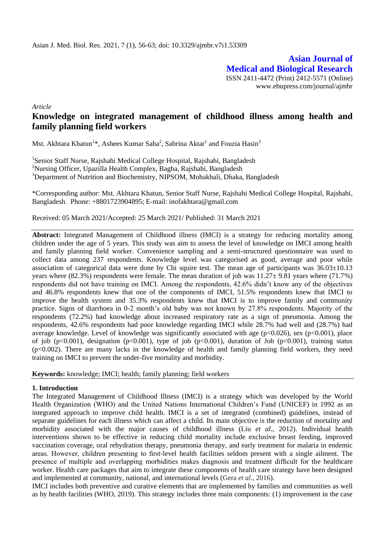**Asian Journal of Medical and Biological Research** ISSN 2411-4472 (Print) 2412-5571 (Online) www.ebupress.com/journal/ajmbr

*Article*

# **Knowledge on integrated management of childhood illness among health and family planning field workers**

Mst. Akhtara Khatun<sup>1</sup>\*, Ashees Kumar Saha<sup>2</sup>, Sabrina Aktar<sup>1</sup> and Fouzia Hasin<sup>3</sup>

<sup>1</sup>Senior Staff Nurse, Rajshahi Medical College Hospital, Rajshahi, Bangladesh <sup>2</sup>Nursing Officer, Upazilla Health Complex, Bagha, Rajshahi, Bangladesh <sup>3</sup>Department of Nutrition and Biochemistry, NIPSOM, Mohakhali, Dhaka, Bangladesh

\*Corresponding author: Mst. Akhtara Khatun, Senior Staff Nurse, Rajshahi Medical College Hospital, Rajshahi, Bangladesh. Phone: +8801723904895; E-mail: inofakhtara@gmail.com

Received: 05 March 2021/Accepted: 25 March 2021/ Published: 31 March 2021

**Abstract:** Integrated Management of Childhood illness (IMCI) is a strategy for reducing mortality among children under the age of 5 years. This study was aim to assess the level of knowledge on IMCI among health and family planning field worker. Convenience sampling and a semi-structured questionnaire was used to collect data among 237 respondents. Knowledge level was categorised as good, average and poor while association of categorical data were done by Chi squire test. The mean age of participants was  $36.03\pm10.13$ years where (82.3%) respondents were female. The mean duration of job was 11.27± 9.81 years where (71.7%) respondents did not have training on IMCI. Among the respondents, 42.6% didn't know any of the objectives and 46.8% respondents knew that one of the components of IMCI, 51.5% respondents knew that IMCI to improve the health system and 35.3% respondents knew that IMCI is to improve family and community practice. Signs of diarrhoea in 0-2 month's old baby was not known by 27.8% respondents. Majority of the respondents (72.2%) had knowledge about increased respiratory rate as a sign of pneumonia. Among the respondents, 42.6% respondents had poor knowledge regarding IMCI while 28.7% had well and (28.7%) had average knowledge. Level of knowledge was significantly associated with age ( $p<0.026$ ), sex ( $p<0.001$ ), place of job (p<0.001), designation (p<0.001), type of job (p<0.001), duration of Job (p<0.001), training status (p<0.002). There are many lacks in the knowledge of health and family planning field workers, they need training on IMCI to prevent the under-five mortality and morbidity.

**Keywords:** knowledge; IMCI; health; family planning; field workers

### **1. Introduction**

The Integrated Management of Childhood Illness (IMCI) is a strategy which was developed by the World Health Organization (WHO) and the United Nations International Children's Fund (UNICEF) in 1992 as an integrated approach to improve child health. IMCI is a set of integrated (combined) guidelines, instead of separate guidelines for each illness which can affect a child. Its main objective is the reduction of mortality and morbidity associated with the major causes of childhood illness (Liu *et al*., 2012). Individual health interventions shown to be effective in reducing child mortality include exclusive breast feeding, improved vaccination coverage, oral rehydration therapy, pneumonia therapy, and early treatment for malaria in endemic areas. However, children presenting to first-level health facilities seldom present with a single ailment. The presence of multiple and overlapping morbidities makes diagnosis and treatment difficult for the healthcare worker. Health care packages that aim to integrate these components of health care strategy have been designed and implemented at community, national, and international levels (Gera *et al*., 2016).

IMCI includes both preventive and curative elements that are implemented by families and communities as well as by health facilities (WHO, 2019). This strategy includes three main components: (1) improvement in the case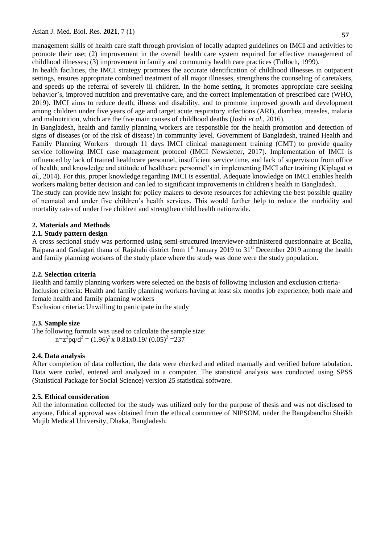management skills of health care staff through provision of locally adapted guidelines on IMCI and activities to promote their use; (2) improvement in the overall health care system required for effective management of childhood illnesses; (3) improvement in family and community health care practices (Tulloch, 1999).

In health facilities, the IMCI strategy promotes the accurate identification of childhood illnesses in outpatient settings, ensures appropriate combined treatment of all major illnesses, strengthens the counseling of caretakers, and speeds up the referral of severely ill children. In the home setting, it promotes appropriate care seeking behavior's, improved nutrition and preventative care, and the correct implementation of prescribed care (WHO, 2019). IMCI aims to reduce death, illness and disability, and to promote improved growth and development among children under five years of age and target acute respiratory infections (ARI), diarrhea, measles, malaria and malnutrition, which are the five main causes of childhood deaths (Joshi *et al*., 2016).

In Bangladesh, health and family planning workers are responsible for the health promotion and detection of signs of diseases (or of the risk of disease) in community level. Government of Bangladesh, trained Health and Family Planning Workers through 11 days IMCI clinical management training (CMT) to provide quality service following IMCI case management protocol (IMCI Newsletter, 2017). Implementation of IMCI is influenced by lack of trained healthcare personnel, insufficient service time, and lack of supervision from office of health, and knowledge and attitude of healthcare personnel's in implementing IMCI after training (Kiplagat *et al.,* 2014). For this, proper knowledge regarding IMCI is essential. Adequate knowledge on IMCI enables health workers making better decision and can led to significant improvements in children's health in Bangladesh.

The study can provide new insight for policy makers to devote resources for achieving the best possible quality of neonatal and under five children's health services. This would further help to reduce the morbidity and mortality rates of under five children and strengthen child health nationwide.

# **2. Materials and Methods**

# **2.1. Study pattern design**

A cross sectional study was performed using semi-structured interviewer-administered questionnaire at Boalia, Rajpara and Godagari thana of Rajshahi district from 1<sup>st</sup> January 2019 to 31<sup>st</sup> December 2019 among the health and family planning workers of the study place where the study was done were the study population.

# **2.2. Selection criteria**

Health and family planning workers were selected on the basis of following inclusion and exclusion criteria-Inclusion criteria: Health and family planning workers having at least six months job experience, both male and female health and family planning workers

Exclusion criteria: Unwilling to participate in the study

# **2.3. Sample size**

The following formula was used to calculate the sample size:  $n=z^2pq/d^2 = (1.96)^2 \times 0.81 \times 0.19 / (0.05)^2 = 237$ 

### **2.4. Data analysis**

After completion of data collection, the data were checked and edited manually and verified before tabulation. Data were coded, entered and analyzed in a computer. The statistical analysis was conducted using SPSS (Statistical Package for Social Science) version 25 statistical software.

### **2.5. Ethical consideration**

All the information collected for the study was utilized only for the purpose of thesis and was not disclosed to anyone. Ethical approval was obtained from the ethical committee of NIPSOM, under the Bangabandhu Sheikh Mujib Medical University, Dhaka, Bangladesh.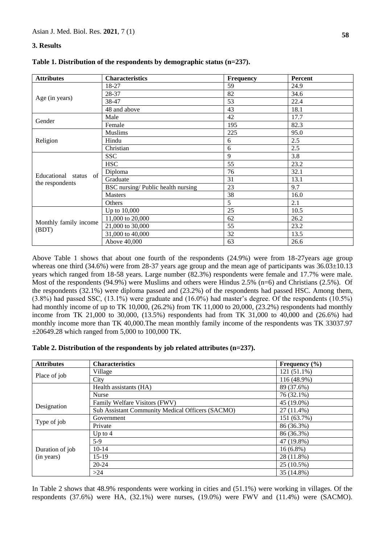# **3. Results**

| <b>Attributes</b>                        | <b>Characteristics</b>            | Frequency | Percent |
|------------------------------------------|-----------------------------------|-----------|---------|
|                                          | 18-27                             | 59        | 24.9    |
|                                          | 28-37                             | 82        | 34.6    |
| Age (in years)                           | 38-47                             | 53        | 22.4    |
|                                          | 48 and above                      | 43        | 18.1    |
| Gender                                   | Male                              | 42        | 17.7    |
|                                          | Female                            | 195       | 82.3    |
|                                          | <b>Muslims</b>                    | 225       | 95.0    |
| Religion                                 | Hindu                             | 6         | 2.5     |
|                                          | Christian                         | 6         | 2.5     |
|                                          | <b>SSC</b>                        | 9         | 3.8     |
|                                          | <b>HSC</b>                        | 55        | 23.2    |
|                                          | Diploma                           | 76        | 32.1    |
| Educational status of<br>the respondents | Graduate                          | 31        | 13.1    |
|                                          | BSC nursing/Public health nursing | 23        | 9.7     |
|                                          | <b>Masters</b>                    | 38        | 16.0    |
|                                          | Others                            | 5         | 2.1     |
|                                          | Up to 10,000                      | 25        | 10.5    |
|                                          | 11,000 to 20,000                  | 62        | 26.2    |
| Monthly family income                    | 21,000 to 30,000                  | 55        | 23.2    |
| (BDT)                                    | 31,000 to 40,000                  | 32        | 13.5    |
|                                          | Above 40,000                      | 63        | 26.6    |

| Table 1. Distribution of the respondents by demographic status $(n=237)$ . |  |  |  |  |
|----------------------------------------------------------------------------|--|--|--|--|
|----------------------------------------------------------------------------|--|--|--|--|

Above Table 1 shows that about one fourth of the respondents (24.9%) were from 18-27years age group whereas one third (34.6%) were from 28-37 years age group and the mean age of participants was  $36.03\pm10.13$ years which ranged from 18-58 years. Large number (82.3%) respondents were female and 17.7% were male. Most of the respondents (94.9%) were Muslims and others were Hindus 2.5% (n=6) and Christians (2.5%). Of the respondents (32.1%) were diploma passed and (23.2%) of the respondents had passed HSC. Among them, (3.8%) had passed SSC, (13.1%) were graduate and (16.0%) had master's degree. Of the respondents (10.5%) had monthly income of up to TK 10,000, (26.2%) from TK 11,000 to 20,000, (23.2%) respondents had monthly income from TK 21,000 to 30,000, (13.5%) respondents had from TK 31,000 to 40,000 and (26.6%) had monthly income more than TK 40,000.The mean monthly family income of the respondents was TK 33037.97 ±20649.28 which ranged from 5,000 to 100,000 TK.

| Table 2. Distribution of the respondents by job related attributes $(n=237)$ . |  |  |  |  |
|--------------------------------------------------------------------------------|--|--|--|--|
|--------------------------------------------------------------------------------|--|--|--|--|

| <b>Attributes</b> | <b>Characteristics</b>                           | Frequency $(\% )$ |
|-------------------|--------------------------------------------------|-------------------|
|                   | Village                                          | 121 (51.1%)       |
| Place of job      | City                                             | 116 (48.9%)       |
|                   | Health assistants (HA)                           | 89 (37.6%)        |
|                   | <b>Nurse</b>                                     | 76 (32.1%)        |
| Designation       | Family Welfare Visitors (FWV)                    | 45 (19.0%)        |
|                   | Sub Assistant Community Medical Officers (SACMO) | 27 (11.4%)        |
|                   | Government                                       | 151 (63.7%)       |
| Type of job       | Private                                          | 86 (36.3%)        |
|                   | Up to $4$                                        | 86 (36.3%)        |
|                   | $5-9$                                            | 47 (19.8%)        |
| Duration of job   | $10-14$                                          | $16(6.8\%)$       |
| (in years)        | $15-19$                                          | 28 (11.8%)        |
|                   | 20-24                                            | 25 (10.5%)        |
|                   | >24                                              | 35 (14.8%)        |

In Table 2 shows that 48.9% respondents were working in cities and (51.1%) were working in villages. Of the respondents (37.6%) were HA, (32.1%) were nurses, (19.0%) were FWV and (11.4%) were (SACMO).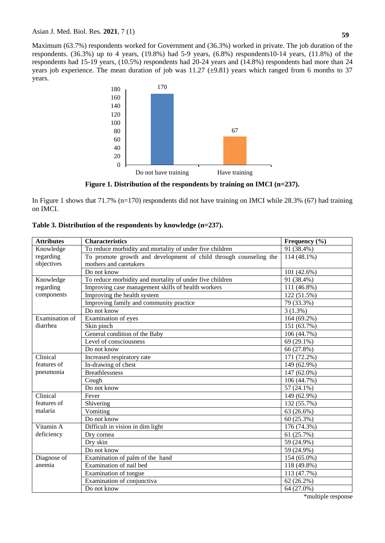Maximum (63.7%) respondents worked for Government and (36.3%) worked in private. The job duration of the respondents.  $(36.3\%)$  up to 4 years,  $(19.8\%)$  had 5-9 years,  $(6.8\%)$  respondents10-14 years,  $(11.8\%)$  of the respondents had 15-19 years, (10.5%) respondents had 20-24 years and (14.8%) respondents had more than 24 years job experience. The mean duration of job was  $11.27$  ( $\pm$ 9.81) years which ranged from 6 months to 37 years.



**Figure 1. Distribution of the respondents by training on IMCI (n=237).**

In Figure 1 shows that 71.7% (n=170) respondents did not have training on IMCI while 28.3% (67) had training on IMCI.

| <b>Attributes</b> | <b>Characteristics</b>                                            | Frequency (%) |
|-------------------|-------------------------------------------------------------------|---------------|
| Knowledge         | To reduce morbidity and mortality of under five children          | 91 (38.4%)    |
| regarding         | To promote growth and development of child through counseling the | 114 (48.1%)   |
| objectives        | mothers and caretakers                                            |               |
|                   | Do not know                                                       | 101 (42.6%)   |
| Knowledge         | To reduce morbidity and mortality of under five children          | 91 (38.4%)    |
| regarding         | Improving case management skills of health workers                | 111 (46.8%)   |
| components        | Improving the health system                                       | 122 (51.5%)   |
|                   | Improving family and community practice                           | 79 (33.3%)    |
|                   | Do not know                                                       | $3(1.3\%)$    |
| Examination of    | Examination of eyes                                               | 164 (69.2%)   |
| diarrhea          | Skin pinch                                                        | 151 (63.7%)   |
|                   | General condition of the Baby                                     | 106 (44.7%)   |
|                   | Level of consciousness                                            | 69 (29.1%)    |
|                   | Do not know                                                       | 66 (27.8%)    |
| Clinical          | Increased respiratory rate                                        | 171 (72.2%)   |
| features of       | In-drawing of chest                                               | 149 (62.9%)   |
| pneumonia         | <b>Breathlessness</b>                                             | 147 (62.0%)   |
|                   | Cough                                                             | 106 (44.7%)   |
|                   | Do not know                                                       | 57 (24.1%)    |
| Clinical          | Fever                                                             | 149 (62.9%)   |
| features of       | Shivering                                                         | 132 (55.7%)   |
| malaria           | Vomiting                                                          | 63 (26.6%)    |
|                   | Do not know                                                       | 60 (25.3%)    |
| Vitamin A         | Difficult in vision in dim light                                  | 176 (74.3%)   |
| deficiency        | Dry cornea                                                        | 61 (25.7%)    |
|                   | Dry skin                                                          | 59 (24.9%)    |
|                   | Do not know                                                       | 59 (24.9%)    |
| Diagnose of       | Examination of palm of the hand                                   | 154 (65.0%)   |
| anemia            | Examination of nail bed                                           | 118 (49.8%)   |
|                   | Examination of tongue                                             | 113 (47.7%)   |
|                   | Examination of conjunctiva                                        | 62 (26.2%)    |
|                   | Do not know                                                       | 64 (27.0%)    |

### **Table 3. Distribution of the respondents by knowledge (n=237).**

\*multiple response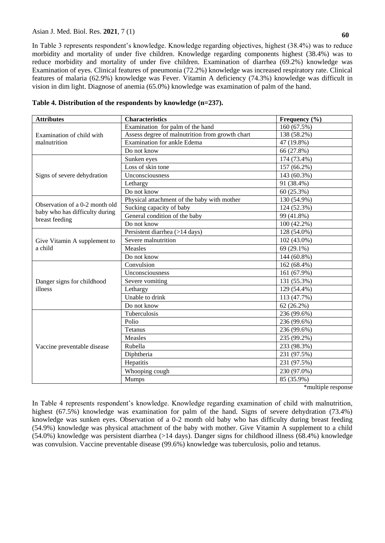In Table 3 represents respondent's knowledge. Knowledge regarding objectives, highest (38.4%) was to reduce morbidity and mortality of under five children. Knowledge regarding components highest (38.4%) was to reduce morbidity and mortality of under five children. Examination of diarrhea (69.2%) knowledge was Examination of eyes. Clinical features of pneumonia (72.2%) knowledge was increased respiratory rate. Clinical features of malaria (62.9%) knowledge was Fever. Vitamin A deficiency (74.3%) knowledge was difficult in vision in dim light. Diagnose of anemia (65.0%) knowledge was examination of palm of the hand.

| Table 4. Distribution of the respondents by knowledge (n=237). |  |  |  |  |
|----------------------------------------------------------------|--|--|--|--|
|----------------------------------------------------------------|--|--|--|--|

| <b>Attributes</b>                                | <b>Characteristics</b>                          | Frequency (%) |
|--------------------------------------------------|-------------------------------------------------|---------------|
|                                                  | Examination for palm of the hand                | 160(67.5%)    |
| Examination of child with                        | Assess degree of malnutrition from growth chart | 138 (58.2%)   |
| malnutrition                                     | <b>Examination for ankle Edema</b>              | 47 (19.8%)    |
|                                                  | Do not know                                     | 66 (27.8%)    |
|                                                  | Sunken eyes                                     | 174 (73.4%)   |
|                                                  | Loss of skin tone                               | 157 (66.2%)   |
| Signs of severe dehydration                      | Unconsciousness                                 | 143 (60.3%)   |
|                                                  | Lethargy                                        | 91 (38.4%)    |
|                                                  | Do not know                                     | 60(25.3%)     |
|                                                  | Physical attachment of the baby with mother     | 130 (54.9%)   |
| Observation of a 0-2 month old                   | Sucking capacity of baby                        | 124 (52.3%)   |
| baby who has difficulty during<br>breast feeding | General condition of the baby                   | 99 (41.8%)    |
|                                                  | Do not know                                     | 100 (42.2%)   |
|                                                  | Persistent diarrhea (>14 days)                  | 128 (54.0%)   |
| Give Vitamin A supplement to                     | Severe malnutrition                             | 102 (43.0%)   |
| a child                                          | Measles                                         | 69 (29.1%)    |
|                                                  | Do not know                                     | 144 (60.8%)   |
|                                                  | Convulsion                                      | 162 (68.4%)   |
|                                                  | Unconsciousness                                 | 161 (67.9%)   |
| Danger signs for childhood                       | Severe vomiting                                 | 131 (55.3%)   |
| illness                                          | Lethargy                                        | 129 (54.4%)   |
|                                                  | Unable to drink                                 | 113 (47.7%)   |
|                                                  | Do not know                                     | $62(26.2\%)$  |
|                                                  | Tuberculosis                                    | 236 (99.6%)   |
|                                                  | Polio                                           | 236 (99.6%)   |
|                                                  | Tetanus                                         | 236 (99.6%)   |
|                                                  | Measles                                         | 235 (99.2%)   |
| Vaccine preventable disease                      | Rubella                                         | 233 (98.3%)   |
|                                                  | Diphtheria                                      | 231 (97.5%)   |
|                                                  | Hepatitis                                       | 231 (97.5%)   |
|                                                  | Whooping cough                                  | 230 (97.0%)   |
|                                                  | Mumps                                           | 85 (35.9%)    |

\*multiple response

In Table 4 represents respondent's knowledge. Knowledge regarding examination of child with malnutrition, highest (67.5%) knowledge was examination for palm of the hand. Signs of severe dehydration (73.4%) knowledge was sunken eyes. Observation of a 0-2 month old baby who has difficulty during breast feeding (54.9%) knowledge was physical attachment of the baby with mother. Give Vitamin A supplement to a child (54.0%) knowledge was persistent diarrhea (>14 days). Danger signs for childhood illness (68.4%) knowledge was convulsion. Vaccine preventable disease (99.6%) knowledge was tuberculosis, polio and tetanus.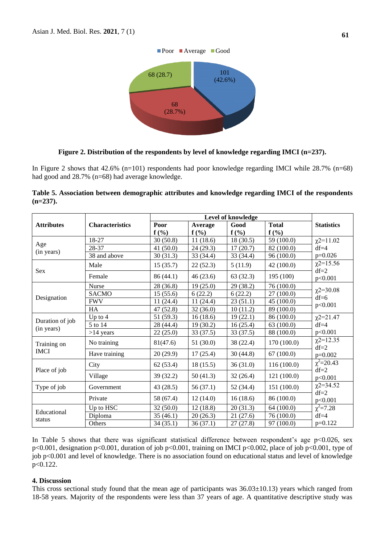

#### **Figure 2. Distribution of the respondents by level of knowledge regarding IMCI (n=237).**

In Figure 2 shows that 42.6% (n=101) respondents had poor knowledge regarding IMCI while 28.7% (n=68) had good and 28.7% (n=68) had average knowledge.

| Table 5. Association between demographic attributes and knowledge regarding IMCI of the respondents |  |  |  |  |
|-----------------------------------------------------------------------------------------------------|--|--|--|--|
| $(n=237)$ .                                                                                         |  |  |  |  |

| <b>Attributes</b> | <b>Characteristics</b> | Poor      | Average   | Good      | <b>Total</b> | <b>Statistics</b>         |
|-------------------|------------------------|-----------|-----------|-----------|--------------|---------------------------|
|                   |                        | $f(\%)$   | $f(\%)$   | $f(\%)$   | $f(\%)$      |                           |
| Age               | 18-27                  | 30(50.8)  | 11(18.6)  | 18(30.5)  | 59 (100.0)   | $\chi$ 2=11.02            |
| (in years)        | 28-37                  | 41(50.0)  | 24(29.3)  | 17(20.7)  | 82 (100.0)   | $df=4$                    |
|                   | 38 and above           | 30(31.3)  | 33 (34.4) | 33 (34.4) | 96(100.0)    | $p=0.026$                 |
| <b>Sex</b>        | Male                   | 15(35.7)  | 22(52.3)  | 5(11.9)   | 42(100.0)    | $\chi$ 2=15.56<br>$df=2$  |
|                   | Female                 | 86 (44.1) | 46(23.6)  | 63(32.3)  | 195 (100)    | p<0.001                   |
|                   | <b>Nurse</b>           | 28(36.8)  | 19(25.0)  | 29(38.2)  | 76 (100.0)   |                           |
|                   | <b>SACMO</b>           | 15(55.6)  | 6(22.2)   | 6(22.2)   | 27(100.0)    | $\chi$ 2=30.08<br>$df=6$  |
| Designation       | <b>FWV</b>             | 11(24.4)  | 11(24.4)  | 23(51.1)  | 45 (100.0)   | p<0.001                   |
|                   | HA                     | 47(52.8)  | 32(36.0)  | 10(11.2)  | 89 (100.0)   |                           |
|                   | Up to $4$              | 51 (59.3) | 16(18.6)  | 19(22.1)  | 86 (100.0)   | $\chi$ 2=21.47            |
| Duration of job   | 5 to 14                | 28 (44.4) | 19(30.2)  | 16(25.4)  | 63 (100.0)   | $df=4$                    |
| (in years)        | $>14$ years            | 22(25.0)  | 33(37.5)  | 33(37.5)  | 88 (100.0)   | p<0.001                   |
| Training on       | No training            | 81(47.6)  | 51(30.0)  | 38 (22.4) | 170 (100.0)  | $\chi$ 2=12.35<br>$df=2$  |
| <b>IMCI</b>       | Have training          | 20(29.9)  | 17(25.4)  | 30(44.8)  | 67(100.0)    | $p=0.002$                 |
|                   | City                   | 62(53.4)  | 18(15.5)  | 36(31.0)  | 116(100.0)   | $\chi^2$ =20.43<br>$df=2$ |
| Place of job      | Village                | 39(32.2)  | 50(41.3)  | 32(26.4)  | 121(100.0)   | p<0.001                   |
| Type of job       | Government             | 43(28.5)  | 56(37.1)  | 52 (34.4) | 151(100.0)   | $\chi$ 2=34.52<br>$df=2$  |
|                   | Private                | 58 (67.4) | 12(14.0)  | 16(18.6)  | 86 (100.0)   | p<0.001                   |
|                   | Up to HSC              | 32(50.0)  | 12(18.8)  | 20(31.3)  | 64 (100.0)   | $\chi^2 = 7.28$           |
| Educational       | Diploma                | 35(46.1)  | 20(26.3)  | 21(27.6)  | 76 (100.0)   | $df=4$                    |
| status            | Others                 | 34(35.1)  | 36(37.1)  | 27(27.8)  | 97 (100.0)   | $p=0.122$                 |

In Table 5 shows that there was significant statistical difference between respondent's age  $p<0.026$ , sex p<0.001, designation p<0.001, duration of job p<0.001, training on IMCI p<0.002, place of job p<0.001, type of job p<0.001 and level of knowledge. There is no association found on educational status and level of knowledge p<0.122.

#### **4. Discussion**

This cross sectional study found that the mean age of participants was 36.03±10.13) years which ranged from 18-58 years. Majority of the respondents were less than 37 years of age. A quantitative descriptive study was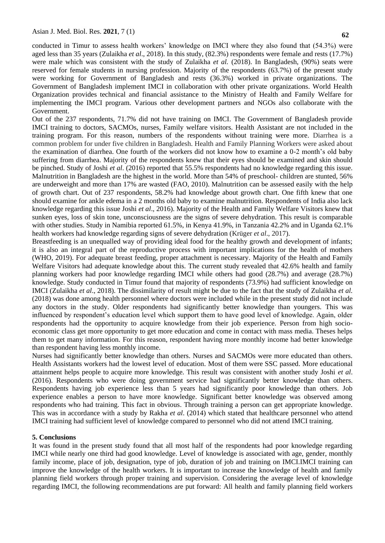conducted in Timur to assess health workers' knowledge on IMCI where they also found that (54.3%) were aged less than 35 years (Zulaikha *et al*., 2018). In this study, (82.3%) respondents were female and rests (17.7%) were male which was consistent with the study of Zulaikha *et al.* (2018). In Bangladesh, (90%) seats were reserved for female students in nursing profession. Majority of the respondents (63.7%) of the present study were working for Government of Bangladesh and rests (36.3%) worked in private organizations. The Government of Bangladesh implement IMCI in collaboration with other private organizations. World Health Organization provides technical and financial assistance to the Ministry of Health and Family Welfare for implementing the IMCI program. Various other development partners and NGOs also collaborate with the Government.

Out of the 237 respondents, 71.7% did not have training on IMCI. The Government of Bangladesh provide IMCI training to doctors, SACMOs, nurses, Family welfare visitors. Health Assistant are not included in the training program. For this reason, numbers of the respondents without training were more. Diarrhea is a common problem for under five children in Bangladesh. Health and Family Planning Workers were asked about the examination of diarrhea. One fourth of the workers did not know how to examine a 0-2 month's old baby suffering from diarrhea. Majority of the respondents knew that their eyes should be examined and skin should be pinched. Study of Joshi *et al*. (2016) reported that 55.5% respondents had no knowledge regarding this issue. Malnutrition in Bangladesh are the highest in the world. More than 54% of preschool- children are stunted, 56% are underweight and more than 17% are wasted (FAO, 2010). Malnutrition can be assessed easily with the help of growth chart. Out of 237 respondents, 58.2% had knowledge about growth chart. One fifth knew that one should examine for ankle edema in a 2 months old baby to examine malnutrition. Respondents of India also lack knowledge regarding this issue Joshi *et al*., 2016). Majority of the Health and Family Welfare Visitors knew that sunken eyes, loss of skin tone, unconsciousness are the signs of severe dehydration. This result is comparable with other studies. Study in Namibia reported 61.5%, in Kenya 41.9%, in Tanzania 42.2% and in Uganda 62.1% health workers had knowledge regarding signs of severe dehydration (Krüger *et al*., 2017).

Breastfeeding is an unequalled way of providing ideal food for the healthy growth and development of infants; it is also an integral part of the reproductive process with important implications for the health of mothers (WHO, 2019). For adequate breast feeding, proper attachment is necessary. Majority of the Health and Family Welfare Visitors had adequate knowledge about this. The current study revealed that 42.6% health and family planning workers had poor knowledge regarding IMCI while others had good (28.7%) and average (28.7%) knowledge. Study conducted in Timur found that majority of respondents (73.9%) had sufficient knowledge on IMCI (Zulaikha *et al*., 2018). The dissimilarity of result might be due to the fact that the study of Zulaikha *et al.* (2018) was done among health personnel where doctors were included while in the present study did not include any doctors in the study. Older respondents had significantly better knowledge than youngers. This was influenced by respondent's education level which support them to have good level of knowledge. Again, older respondents had the opportunity to acquire knowledge from their job experience. Person from high socioeconomic class get more opportunity to get more education and come in contact with mass media. Theses helps them to get many information. For this reason, respondent having more monthly income had better knowledge than respondent having less monthly income.

Nurses had significantly better knowledge than others. Nurses and SACMOs were more educated than others. Health Assistants workers had the lowest level of education. Most of them were SSC passed. More educational attainment helps people to acquire more knowledge. This result was consistent with another study Joshi *et al*. (2016). Respondents who were doing government service had significantly better knowledge than others. Respondents having job experience less than 5 years had significantly poor knowledge than others. Job experience enables a person to have more knowledge. Significant better knowledge was observed among respondents who had training. This fact in obvious. Through training a person can get appropriate knowledge. This was in accordance with a study by Rakha *et al*. (2014) which stated that healthcare personnel who attend IMCI training had sufficient level of knowledge compared to personnel who did not attend IMCI training.

#### **5. Conclusions**

It was found in the present study found that all most half of the respondents had poor knowledge regarding IMCI while nearly one third had good knowledge. Level of knowledge is associated with age, gender, monthly family income, place of job, designation, type of job, duration of job and training on IMCI.IMCI training can improve the knowledge of the health workers. It is important to increase the knowledge of health and family planning field workers through proper training and supervision. Considering the average level of knowledge regarding IMCI, the following recommendations are put forward: All health and family planning field workers